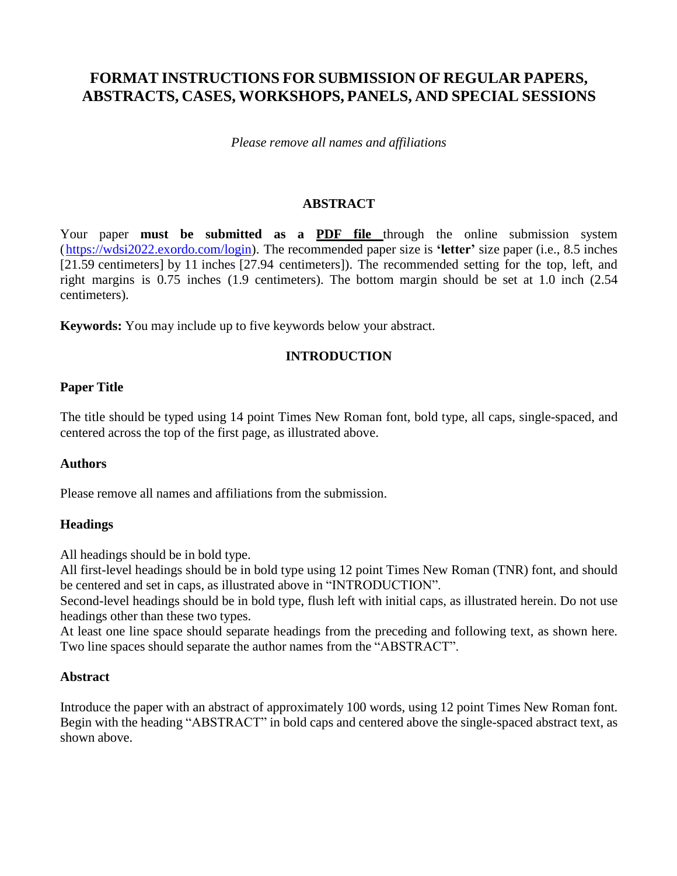# **FORMAT INSTRUCTIONS FOR SUBMISSION OF REGULAR PAPERS, ABSTRACTS, CASES, WORKSHOPS, PANELS, AND SPECIAL SESSIONS**

*Please remove all names and affiliations*

### **ABSTRACT**

Your paper **must be submitted as a PDF file** through the online submission system [\(https://wdsi2022.exordo.com/login\)](https://wdsi2022.exordo.com/login). The recommended paper size is **'letter'** size paper (i.e., 8.5 inches [21.59 centimeters] by 11 inches [27.94 centimeters]). The recommended setting for the top, left, and right margins is 0.75 inches (1.9 centimeters). The bottom margin should be set at 1.0 inch (2.54 centimeters).

**Keywords:** You may include up to five keywords below your abstract.

### **INTRODUCTION**

### **Paper Title**

The title should be typed using 14 point Times New Roman font, bold type, all caps, single-spaced, and centered across the top of the first page, as illustrated above.

#### **Authors**

Please remove all names and affiliations from the submission.

# **Headings**

All headings should be in bold type.

All first-level headings should be in bold type using 12 point Times New Roman (TNR) font, and should be centered and set in caps, as illustrated above in "INTRODUCTION".

Second-level headings should be in bold type, flush left with initial caps, as illustrated herein. Do not use headings other than these two types.

At least one line space should separate headings from the preceding and following text, as shown here. Two line spaces should separate the author names from the "ABSTRACT".

#### **Abstract**

Introduce the paper with an abstract of approximately 100 words, using 12 point Times New Roman font. Begin with the heading "ABSTRACT" in bold caps and centered above the single-spaced abstract text, as shown above.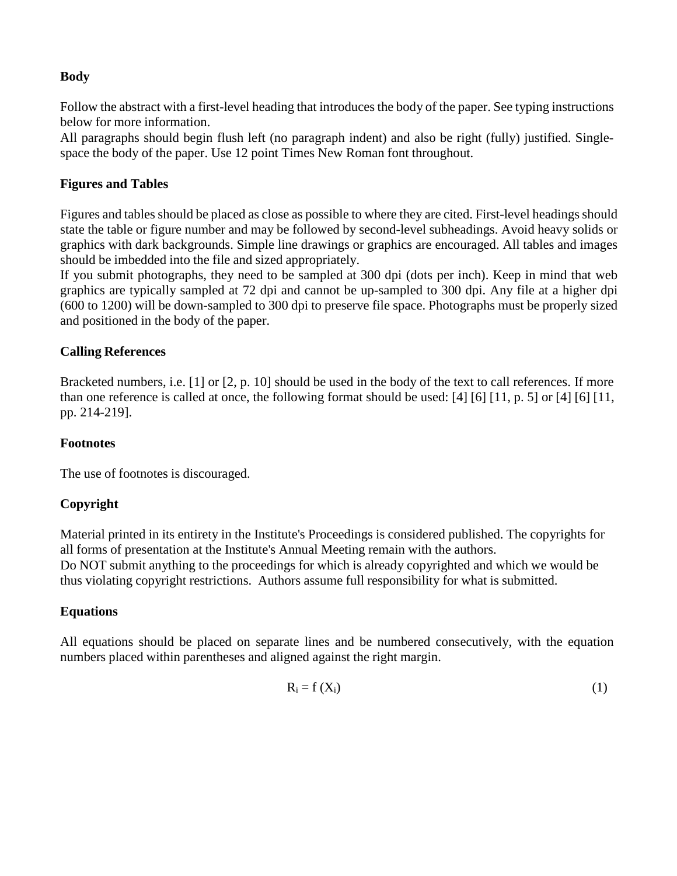# **Body**

Follow the abstract with a first-level heading that introduces the body of the paper. See typing instructions below for more information.

All paragraphs should begin flush left (no paragraph indent) and also be right (fully) justified. Singlespace the body of the paper. Use 12 point Times New Roman font throughout.

# **Figures and Tables**

Figures and tables should be placed as close as possible to where they are cited. First-level headingsshould state the table or figure number and may be followed by second-level subheadings. Avoid heavy solids or graphics with dark backgrounds. Simple line drawings or graphics are encouraged. All tables and images should be imbedded into the file and sized appropriately.

If you submit photographs, they need to be sampled at 300 dpi (dots per inch). Keep in mind that web graphics are typically sampled at 72 dpi and cannot be up-sampled to 300 dpi. Any file at a higher dpi (600 to 1200) will be down-sampled to 300 dpi to preserve file space. Photographs must be properly sized and positioned in the body of the paper.

# **Calling References**

Bracketed numbers, i.e. [1] or [2, p. 10] should be used in the body of the text to call references. If more than one reference is called at once, the following format should be used: [4] [6] [11, p. 5] or [4] [6] [11, pp. 214-219].

# **Footnotes**

The use of footnotes is discouraged.

# **Copyright**

Material printed in its entirety in the Institute's Proceedings is considered published. The copyrights for all forms of presentation at the Institute's Annual Meeting remain with the authors. Do NOT submit anything to the proceedings for which is already copyrighted and which we would be thus violating copyright restrictions. Authors assume full responsibility for what is submitted.

# **Equations**

All equations should be placed on separate lines and be numbered consecutively, with the equation numbers placed within parentheses and aligned against the right margin.

$$
R_i = f(X_i) \tag{1}
$$